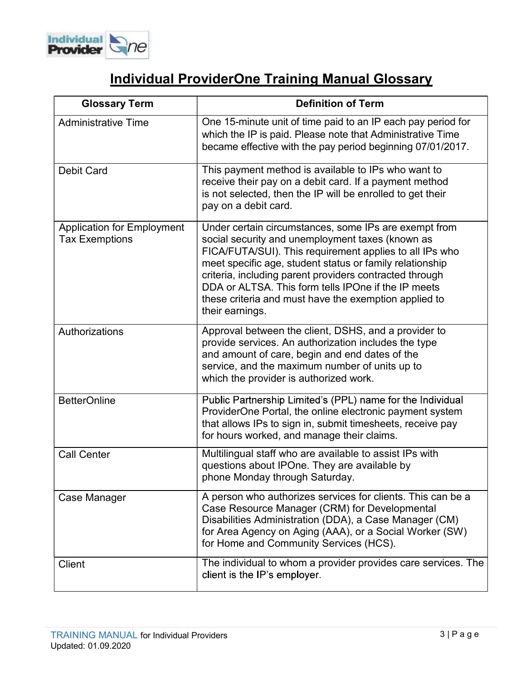

## Individual ProviderOne Training Manual Glossary

| <b>Glossary Term</b>                                       | <b>Definition of Term</b>                                                                                                                                                                                                                                                                                                                                                                                                      |
|------------------------------------------------------------|--------------------------------------------------------------------------------------------------------------------------------------------------------------------------------------------------------------------------------------------------------------------------------------------------------------------------------------------------------------------------------------------------------------------------------|
| <b>Administrative Time</b>                                 | One 15-minute unit of time paid to an IP each pay period for<br>which the IP is paid. Please note that Administrative Time<br>became effective with the pay period beginning 07/01/2017.                                                                                                                                                                                                                                       |
| <b>Debit Card</b>                                          | This payment method is available to IPs who want to<br>receive their pay on a debit card. If a payment method<br>is not selected, then the IP will be enrolled to get their<br>pay on a debit card.                                                                                                                                                                                                                            |
| <b>Application for Employment</b><br><b>Tax Exemptions</b> | Under certain circumstances, some IPs are exempt from<br>social security and unemployment taxes (known as<br>FICA/FUTA/SUI). This requirement applies to all IPs who<br>meet specific age, student status or family relationship<br>criteria, including parent providers contracted through<br>DDA or ALTSA. This form tells IPOne if the IP meets<br>these criteria and must have the exemption applied to<br>their earnings. |
| Authorizations                                             | Approval between the client, DSHS, and a provider to<br>provide services. An authorization includes the type<br>and amount of care, begin and end dates of the<br>service, and the maximum number of units up to<br>which the provider is authorized work.                                                                                                                                                                     |
| <b>BetterOnline</b>                                        | Public Partnership Limited's (PPL) name for the Individual<br>ProviderOne Portal, the online electronic payment system<br>that allows IPs to sign in, submit timesheets, receive pay<br>for hours worked, and manage their claims.                                                                                                                                                                                             |
| <b>Call Center</b>                                         | Multilingual staff who are available to assist IPs with<br>questions about IPOne. They are available by<br>phone Monday through Saturday.                                                                                                                                                                                                                                                                                      |
| Case Manager                                               | A person who authorizes services for clients. This can be a<br>Case Resource Manager (CRM) for Developmental<br>Disabilities Administration (DDA), a Case Manager (CM)<br>for Area Agency on Aging (AAA), or a Social Worker (SW)<br>for Home and Community Services (HCS).                                                                                                                                                    |
| <b>Client</b>                                              | The individual to whom a provider provides care services. The<br>client is the IP's employer.                                                                                                                                                                                                                                                                                                                                  |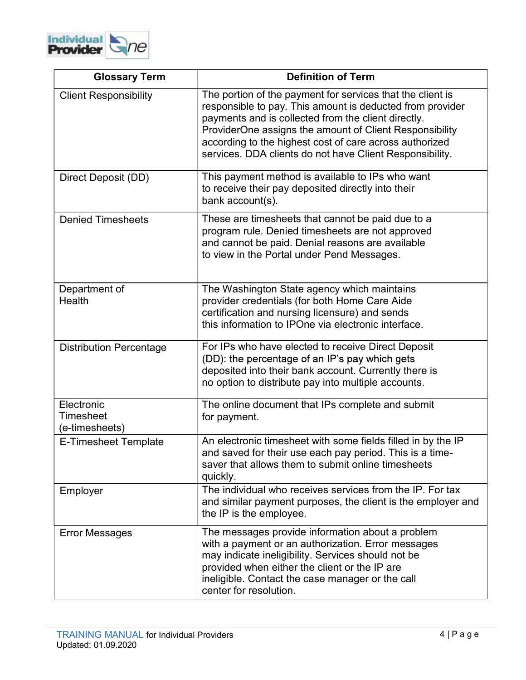

| <b>Glossary Term</b>                      | <b>Definition of Term</b>                                                                                                                                                                                                                                                                                                                                        |
|-------------------------------------------|------------------------------------------------------------------------------------------------------------------------------------------------------------------------------------------------------------------------------------------------------------------------------------------------------------------------------------------------------------------|
| <b>Client Responsibility</b>              | The portion of the payment for services that the client is<br>responsible to pay. This amount is deducted from provider<br>payments and is collected from the client directly.<br>ProviderOne assigns the amount of Client Responsibility<br>according to the highest cost of care across authorized<br>services. DDA clients do not have Client Responsibility. |
| Direct Deposit (DD)                       | This payment method is available to IPs who want<br>to receive their pay deposited directly into their<br>bank account(s).                                                                                                                                                                                                                                       |
| <b>Denied Timesheets</b>                  | These are timesheets that cannot be paid due to a<br>program rule. Denied timesheets are not approved<br>and cannot be paid. Denial reasons are available<br>to view in the Portal under Pend Messages.                                                                                                                                                          |
| Department of<br>Health                   | The Washington State agency which maintains<br>provider credentials (for both Home Care Aide<br>certification and nursing licensure) and sends<br>this information to IPOne via electronic interface.                                                                                                                                                            |
| <b>Distribution Percentage</b>            | For IPs who have elected to receive Direct Deposit<br>(DD): the percentage of an IP's pay which gets<br>deposited into their bank account. Currently there is<br>no option to distribute pay into multiple accounts.                                                                                                                                             |
| Electronic<br>Timesheet<br>(e-timesheets) | The online document that IPs complete and submit<br>for payment.                                                                                                                                                                                                                                                                                                 |
| <b>E-Timesheet Template</b>               | An electronic timesheet with some fields filled in by the IP<br>and saved for their use each pay period. This is a time-<br>saver that allows them to submit online timesheets<br>quickly.                                                                                                                                                                       |
| Employer                                  | The individual who receives services from the IP. For tax<br>and similar payment purposes, the client is the employer and<br>the IP is the employee.                                                                                                                                                                                                             |
| <b>Error Messages</b>                     | The messages provide information about a problem<br>with a payment or an authorization. Error messages<br>may indicate ineligibility. Services should not be<br>provided when either the client or the IP are<br>ineligible. Contact the case manager or the call<br>center for resolution.                                                                      |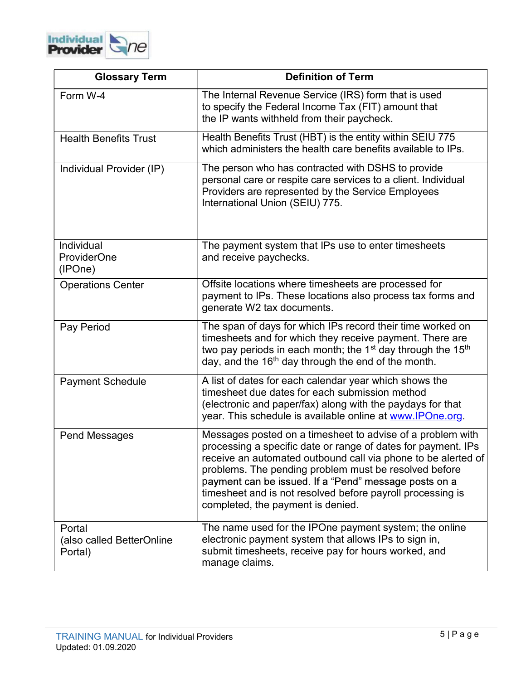

| <b>Glossary Term</b>                           | <b>Definition of Term</b>                                                                                                                                                                                                                                                                                                                                                                                         |
|------------------------------------------------|-------------------------------------------------------------------------------------------------------------------------------------------------------------------------------------------------------------------------------------------------------------------------------------------------------------------------------------------------------------------------------------------------------------------|
| Form W-4                                       | The Internal Revenue Service (IRS) form that is used<br>to specify the Federal Income Tax (FIT) amount that<br>the IP wants withheld from their paycheck.                                                                                                                                                                                                                                                         |
| <b>Health Benefits Trust</b>                   | Health Benefits Trust (HBT) is the entity within SEIU 775<br>which administers the health care benefits available to IPs.                                                                                                                                                                                                                                                                                         |
| Individual Provider (IP)                       | The person who has contracted with DSHS to provide<br>personal care or respite care services to a client. Individual<br>Providers are represented by the Service Employees<br>International Union (SEIU) 775.                                                                                                                                                                                                     |
| Individual<br><b>ProviderOne</b><br>(IPOne)    | The payment system that IPs use to enter timesheets<br>and receive paychecks.                                                                                                                                                                                                                                                                                                                                     |
| <b>Operations Center</b>                       | Offsite locations where timesheets are processed for<br>payment to IPs. These locations also process tax forms and<br>generate W2 tax documents.                                                                                                                                                                                                                                                                  |
| Pay Period                                     | The span of days for which IPs record their time worked on<br>timesheets and for which they receive payment. There are<br>two pay periods in each month; the 1 <sup>st</sup> day through the 15 <sup>th</sup><br>day, and the 16 <sup>th</sup> day through the end of the month.                                                                                                                                  |
| <b>Payment Schedule</b>                        | A list of dates for each calendar year which shows the<br>timesheet due dates for each submission method<br>(electronic and paper/fax) along with the paydays for that<br>year. This schedule is available online at www.IPOne.org.                                                                                                                                                                               |
| <b>Pend Messages</b>                           | Messages posted on a timesheet to advise of a problem with<br>processing a specific date or range of dates for payment. IPs<br>receive an automated outbound call via phone to be alerted of<br>problems. The pending problem must be resolved before<br>payment can be issued. If a "Pend" message posts on a<br>timesheet and is not resolved before payroll processing is<br>completed, the payment is denied. |
| Portal<br>(also called BetterOnline<br>Portal) | The name used for the IPOne payment system; the online<br>electronic payment system that allows IPs to sign in,<br>submit timesheets, receive pay for hours worked, and<br>manage claims.                                                                                                                                                                                                                         |